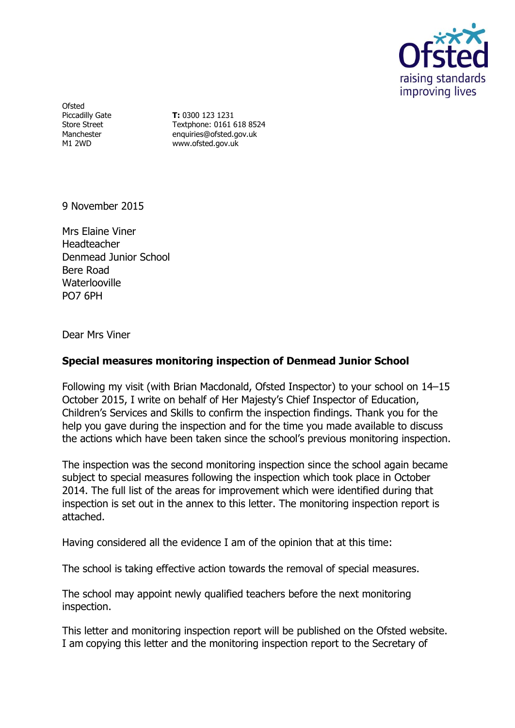

**Ofsted** Piccadilly Gate Store Street Manchester M1 2WD

**T:** 0300 123 1231 Textphone: 0161 618 8524 enquiries@ofsted.gov.uk www.ofsted.gov.uk

9 November 2015

Mrs Elaine Viner Headteacher Denmead Junior School Bere Road Waterlooville PO7 6PH

Dear Mrs Viner

## **Special measures monitoring inspection of Denmead Junior School**

Following my visit (with Brian Macdonald, Ofsted Inspector) to your school on 14–15 October 2015, I write on behalf of Her Majesty's Chief Inspector of Education, Children's Services and Skills to confirm the inspection findings. Thank you for the help you gave during the inspection and for the time you made available to discuss the actions which have been taken since the school's previous monitoring inspection.

The inspection was the second monitoring inspection since the school again became subject to special measures following the inspection which took place in October 2014. The full list of the areas for improvement which were identified during that inspection is set out in the annex to this letter. The monitoring inspection report is attached.

Having considered all the evidence I am of the opinion that at this time:

The school is taking effective action towards the removal of special measures.

The school may appoint newly qualified teachers before the next monitoring inspection.

This letter and monitoring inspection report will be published on the Ofsted website. I am copying this letter and the monitoring inspection report to the Secretary of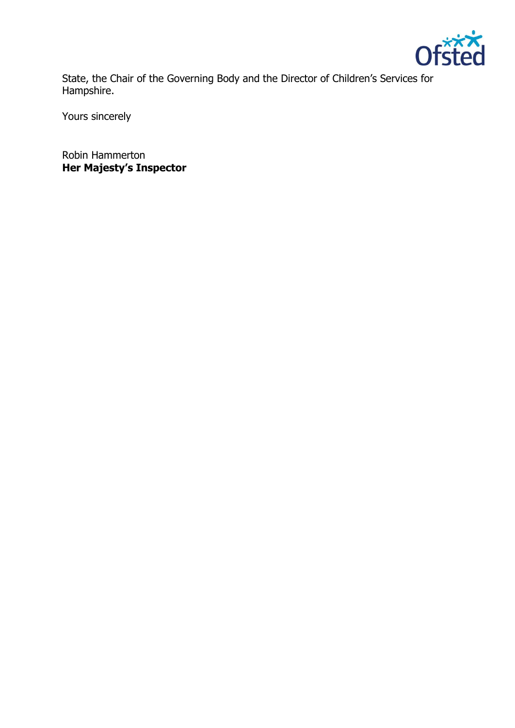

State, the Chair of the Governing Body and the Director of Children's Services for Hampshire.

Yours sincerely

Robin Hammerton **Her Majesty's Inspector**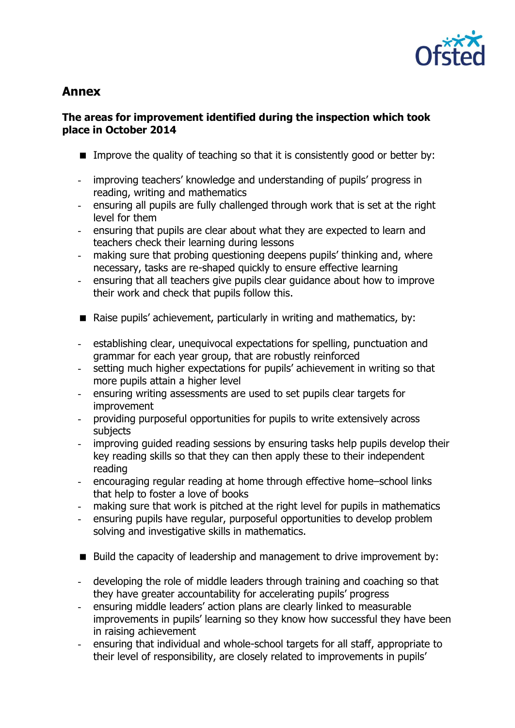

# **Annex**

## **The areas for improvement identified during the inspection which took place in October 2014**

- Improve the quality of teaching so that it is consistently good or better by:
- improving teachers' knowledge and understanding of pupils' progress in reading, writing and mathematics
- ensuring all pupils are fully challenged through work that is set at the right level for them
- ensuring that pupils are clear about what they are expected to learn and teachers check their learning during lessons
- making sure that probing questioning deepens pupils' thinking and, where necessary, tasks are re-shaped quickly to ensure effective learning
- ensuring that all teachers give pupils clear guidance about how to improve their work and check that pupils follow this.
- Raise pupils' achievement, particularly in writing and mathematics, by:
- establishing clear, unequivocal expectations for spelling, punctuation and grammar for each year group, that are robustly reinforced
- setting much higher expectations for pupils' achievement in writing so that more pupils attain a higher level
- ensuring writing assessments are used to set pupils clear targets for improvement
- providing purposeful opportunities for pupils to write extensively across subjects
- improving guided reading sessions by ensuring tasks help pupils develop their key reading skills so that they can then apply these to their independent reading
- encouraging regular reading at home through effective home–school links that help to foster a love of books
- making sure that work is pitched at the right level for pupils in mathematics
- ensuring pupils have regular, purposeful opportunities to develop problem solving and investigative skills in mathematics.
- Build the capacity of leadership and management to drive improvement by:
- developing the role of middle leaders through training and coaching so that they have greater accountability for accelerating pupils' progress
- ensuring middle leaders' action plans are clearly linked to measurable improvements in pupils' learning so they know how successful they have been in raising achievement
- ensuring that individual and whole-school targets for all staff, appropriate to their level of responsibility, are closely related to improvements in pupils'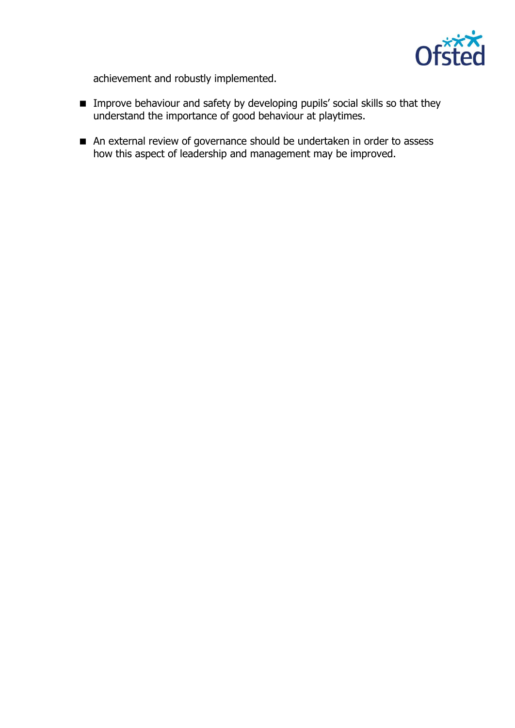

achievement and robustly implemented.

- **IMPROVE behaviour and safety by developing pupils' social skills so that they** understand the importance of good behaviour at playtimes.
- An external review of governance should be undertaken in order to assess how this aspect of leadership and management may be improved.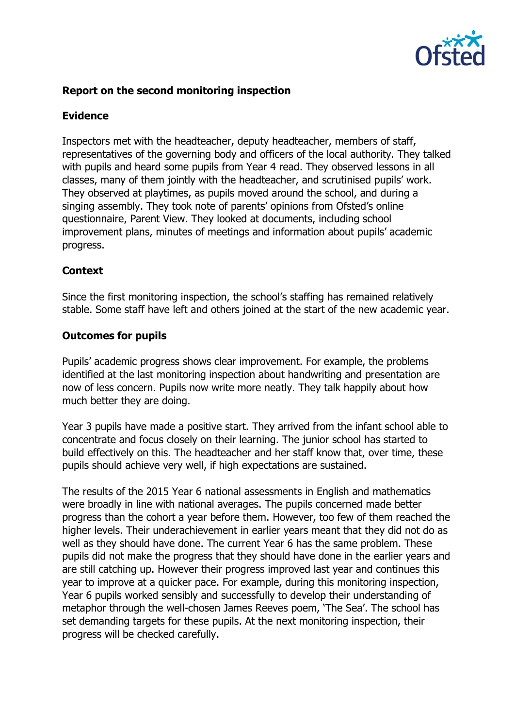

# **Report on the second monitoring inspection**

#### **Evidence**

Inspectors met with the headteacher, deputy headteacher, members of staff, representatives of the governing body and officers of the local authority. They talked with pupils and heard some pupils from Year 4 read. They observed lessons in all classes, many of them jointly with the headteacher, and scrutinised pupils' work. They observed at playtimes, as pupils moved around the school, and during a singing assembly. They took note of parents' opinions from Ofsted's online questionnaire, Parent View. They looked at documents, including school improvement plans, minutes of meetings and information about pupils' academic progress.

# **Context**

Since the first monitoring inspection, the school's staffing has remained relatively stable. Some staff have left and others joined at the start of the new academic year.

#### **Outcomes for pupils**

Pupils' academic progress shows clear improvement. For example, the problems identified at the last monitoring inspection about handwriting and presentation are now of less concern. Pupils now write more neatly. They talk happily about how much better they are doing.

Year 3 pupils have made a positive start. They arrived from the infant school able to concentrate and focus closely on their learning. The junior school has started to build effectively on this. The headteacher and her staff know that, over time, these pupils should achieve very well, if high expectations are sustained.

The results of the 2015 Year 6 national assessments in English and mathematics were broadly in line with national averages. The pupils concerned made better progress than the cohort a year before them. However, too few of them reached the higher levels. Their underachievement in earlier years meant that they did not do as well as they should have done. The current Year 6 has the same problem. These pupils did not make the progress that they should have done in the earlier years and are still catching up. However their progress improved last year and continues this year to improve at a quicker pace. For example, during this monitoring inspection, Year 6 pupils worked sensibly and successfully to develop their understanding of metaphor through the well-chosen James Reeves poem, 'The Sea'. The school has set demanding targets for these pupils. At the next monitoring inspection, their progress will be checked carefully.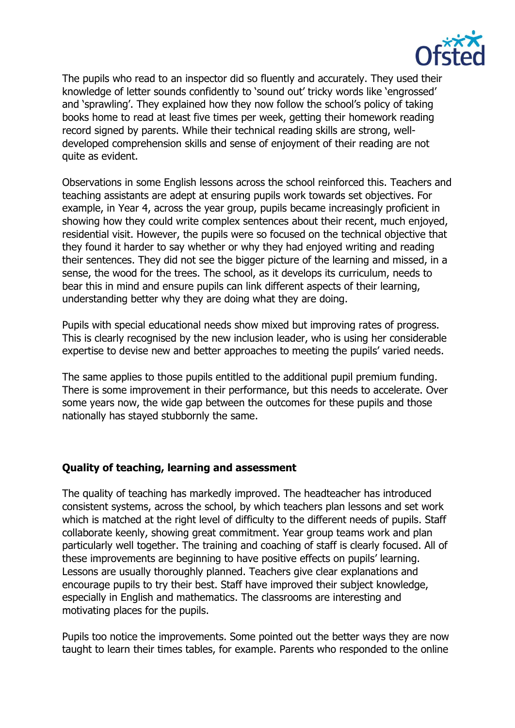

The pupils who read to an inspector did so fluently and accurately. They used their knowledge of letter sounds confidently to 'sound out' tricky words like 'engrossed' and 'sprawling'. They explained how they now follow the school's policy of taking books home to read at least five times per week, getting their homework reading record signed by parents. While their technical reading skills are strong, welldeveloped comprehension skills and sense of enjoyment of their reading are not quite as evident.

Observations in some English lessons across the school reinforced this. Teachers and teaching assistants are adept at ensuring pupils work towards set objectives. For example, in Year 4, across the year group, pupils became increasingly proficient in showing how they could write complex sentences about their recent, much enjoyed, residential visit. However, the pupils were so focused on the technical objective that they found it harder to say whether or why they had enjoyed writing and reading their sentences. They did not see the bigger picture of the learning and missed, in a sense, the wood for the trees. The school, as it develops its curriculum, needs to bear this in mind and ensure pupils can link different aspects of their learning, understanding better why they are doing what they are doing.

Pupils with special educational needs show mixed but improving rates of progress. This is clearly recognised by the new inclusion leader, who is using her considerable expertise to devise new and better approaches to meeting the pupils' varied needs.

The same applies to those pupils entitled to the additional pupil premium funding. There is some improvement in their performance, but this needs to accelerate. Over some years now, the wide gap between the outcomes for these pupils and those nationally has stayed stubbornly the same.

#### **Quality of teaching, learning and assessment**

The quality of teaching has markedly improved. The headteacher has introduced consistent systems, across the school, by which teachers plan lessons and set work which is matched at the right level of difficulty to the different needs of pupils. Staff collaborate keenly, showing great commitment. Year group teams work and plan particularly well together. The training and coaching of staff is clearly focused. All of these improvements are beginning to have positive effects on pupils' learning. Lessons are usually thoroughly planned. Teachers give clear explanations and encourage pupils to try their best. Staff have improved their subject knowledge, especially in English and mathematics. The classrooms are interesting and motivating places for the pupils.

Pupils too notice the improvements. Some pointed out the better ways they are now taught to learn their times tables, for example. Parents who responded to the online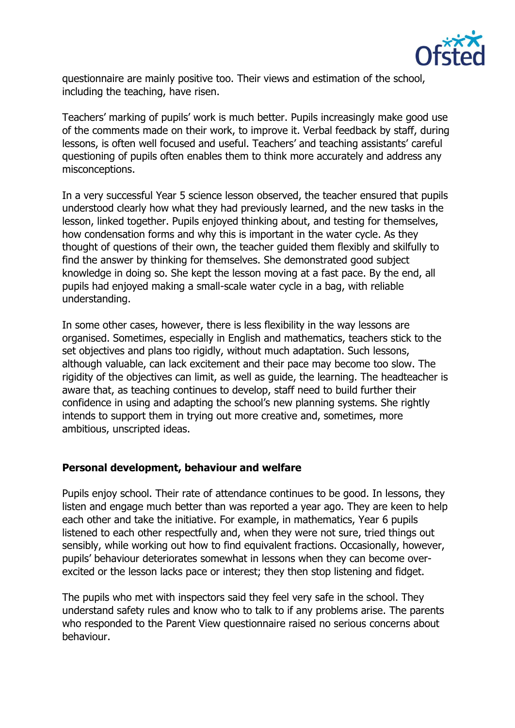

questionnaire are mainly positive too. Their views and estimation of the school, including the teaching, have risen.

Teachers' marking of pupils' work is much better. Pupils increasingly make good use of the comments made on their work, to improve it. Verbal feedback by staff, during lessons, is often well focused and useful. Teachers' and teaching assistants' careful questioning of pupils often enables them to think more accurately and address any misconceptions.

In a very successful Year 5 science lesson observed, the teacher ensured that pupils understood clearly how what they had previously learned, and the new tasks in the lesson, linked together. Pupils enjoyed thinking about, and testing for themselves, how condensation forms and why this is important in the water cycle. As they thought of questions of their own, the teacher guided them flexibly and skilfully to find the answer by thinking for themselves. She demonstrated good subject knowledge in doing so. She kept the lesson moving at a fast pace. By the end, all pupils had enjoyed making a small-scale water cycle in a bag, with reliable understanding.

In some other cases, however, there is less flexibility in the way lessons are organised. Sometimes, especially in English and mathematics, teachers stick to the set objectives and plans too rigidly, without much adaptation. Such lessons, although valuable, can lack excitement and their pace may become too slow. The rigidity of the objectives can limit, as well as guide, the learning. The headteacher is aware that, as teaching continues to develop, staff need to build further their confidence in using and adapting the school's new planning systems. She rightly intends to support them in trying out more creative and, sometimes, more ambitious, unscripted ideas.

#### **Personal development, behaviour and welfare**

Pupils enjoy school. Their rate of attendance continues to be good. In lessons, they listen and engage much better than was reported a year ago. They are keen to help each other and take the initiative. For example, in mathematics, Year 6 pupils listened to each other respectfully and, when they were not sure, tried things out sensibly, while working out how to find equivalent fractions. Occasionally, however, pupils' behaviour deteriorates somewhat in lessons when they can become overexcited or the lesson lacks pace or interest; they then stop listening and fidget.

The pupils who met with inspectors said they feel very safe in the school. They understand safety rules and know who to talk to if any problems arise. The parents who responded to the Parent View questionnaire raised no serious concerns about behaviour.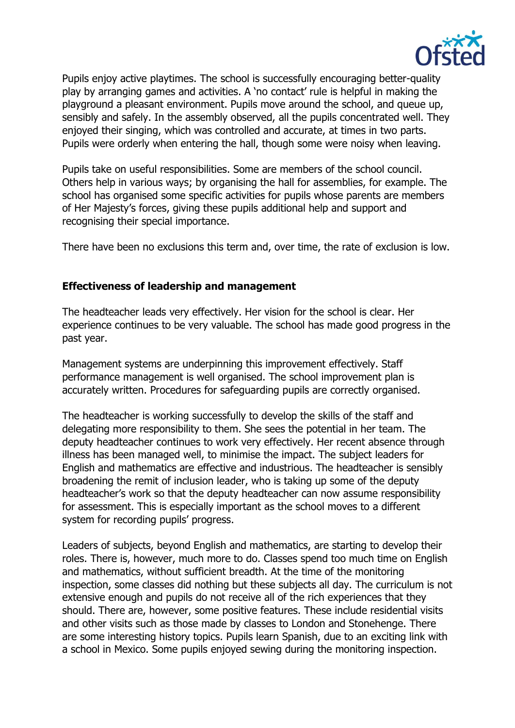

Pupils enjoy active playtimes. The school is successfully encouraging better-quality play by arranging games and activities. A 'no contact' rule is helpful in making the playground a pleasant environment. Pupils move around the school, and queue up, sensibly and safely. In the assembly observed, all the pupils concentrated well. They enjoyed their singing, which was controlled and accurate, at times in two parts. Pupils were orderly when entering the hall, though some were noisy when leaving.

Pupils take on useful responsibilities. Some are members of the school council. Others help in various ways; by organising the hall for assemblies, for example. The school has organised some specific activities for pupils whose parents are members of Her Majesty's forces, giving these pupils additional help and support and recognising their special importance.

There have been no exclusions this term and, over time, the rate of exclusion is low.

#### **Effectiveness of leadership and management**

The headteacher leads very effectively. Her vision for the school is clear. Her experience continues to be very valuable. The school has made good progress in the past year.

Management systems are underpinning this improvement effectively. Staff performance management is well organised. The school improvement plan is accurately written. Procedures for safeguarding pupils are correctly organised.

The headteacher is working successfully to develop the skills of the staff and delegating more responsibility to them. She sees the potential in her team. The deputy headteacher continues to work very effectively. Her recent absence through illness has been managed well, to minimise the impact. The subject leaders for English and mathematics are effective and industrious. The headteacher is sensibly broadening the remit of inclusion leader, who is taking up some of the deputy headteacher's work so that the deputy headteacher can now assume responsibility for assessment. This is especially important as the school moves to a different system for recording pupils' progress.

Leaders of subjects, beyond English and mathematics, are starting to develop their roles. There is, however, much more to do. Classes spend too much time on English and mathematics, without sufficient breadth. At the time of the monitoring inspection, some classes did nothing but these subjects all day. The curriculum is not extensive enough and pupils do not receive all of the rich experiences that they should. There are, however, some positive features. These include residential visits and other visits such as those made by classes to London and Stonehenge. There are some interesting history topics. Pupils learn Spanish, due to an exciting link with a school in Mexico. Some pupils enjoyed sewing during the monitoring inspection.